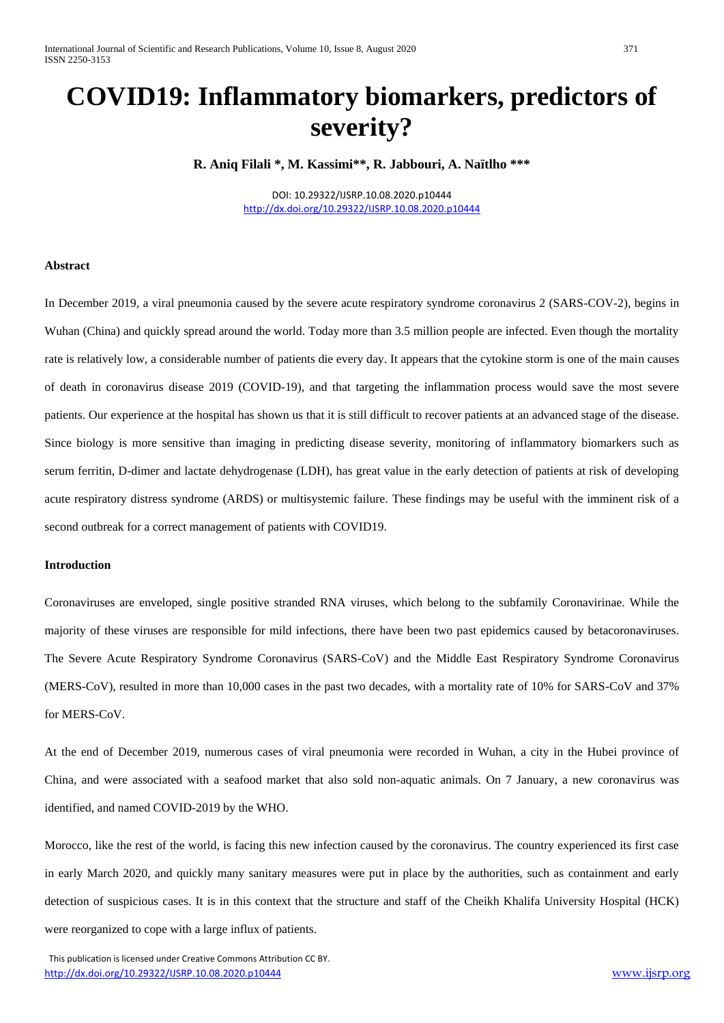# **COVID19: Inflammatory biomarkers, predictors of severity?**

**R. Aniq Filali \*, M. Kassimi\*\*, R. Jabbouri, A. Naïtlho \*\*\***

DOI: 10.29322/IJSRP.10.08.2020.p10444 <http://dx.doi.org/10.29322/IJSRP.10.08.2020.p10444>

#### **Abstract**

In December 2019, a viral pneumonia caused by the severe acute respiratory syndrome coronavirus 2 (SARS-COV-2), begins in Wuhan (China) and quickly spread around the world. Today more than 3.5 million people are infected. Even though the mortality rate is relatively low, a considerable number of patients die every day. It appears that the cytokine storm is one of the main causes of death in coronavirus disease 2019 (COVID-19), and that targeting the inflammation process would save the most severe patients. Our experience at the hospital has shown us that it is still difficult to recover patients at an advanced stage of the disease. Since biology is more sensitive than imaging in predicting disease severity, monitoring of inflammatory biomarkers such as serum ferritin, D-dimer and lactate dehydrogenase (LDH), has great value in the early detection of patients at risk of developing acute respiratory distress syndrome (ARDS) or multisystemic failure. These findings may be useful with the imminent risk of a second outbreak for a correct management of patients with COVID19.

## **Introduction**

Coronaviruses are enveloped, single positive stranded RNA viruses, which belong to the subfamily Coronavirinae. While the majority of these viruses are responsible for mild infections, there have been two past epidemics caused by betacoronaviruses. The Severe Acute Respiratory Syndrome Coronavirus (SARS-CoV) and the Middle East Respiratory Syndrome Coronavirus (MERS-CoV), resulted in more than 10,000 cases in the past two decades, with a mortality rate of 10% for SARS-CoV and 37% for MERS-CoV.

At the end of December 2019, numerous cases of viral pneumonia were recorded in Wuhan, a city in the Hubei province of China, and were associated with a seafood market that also sold non-aquatic animals. On 7 January, a new coronavirus was identified, and named COVID-2019 by the WHO.

Morocco, like the rest of the world, is facing this new infection caused by the coronavirus. The country experienced its first case in early March 2020, and quickly many sanitary measures were put in place by the authorities, such as containment and early detection of suspicious cases. It is in this context that the structure and staff of the Cheikh Khalifa University Hospital (HCK) were reorganized to cope with a large influx of patients.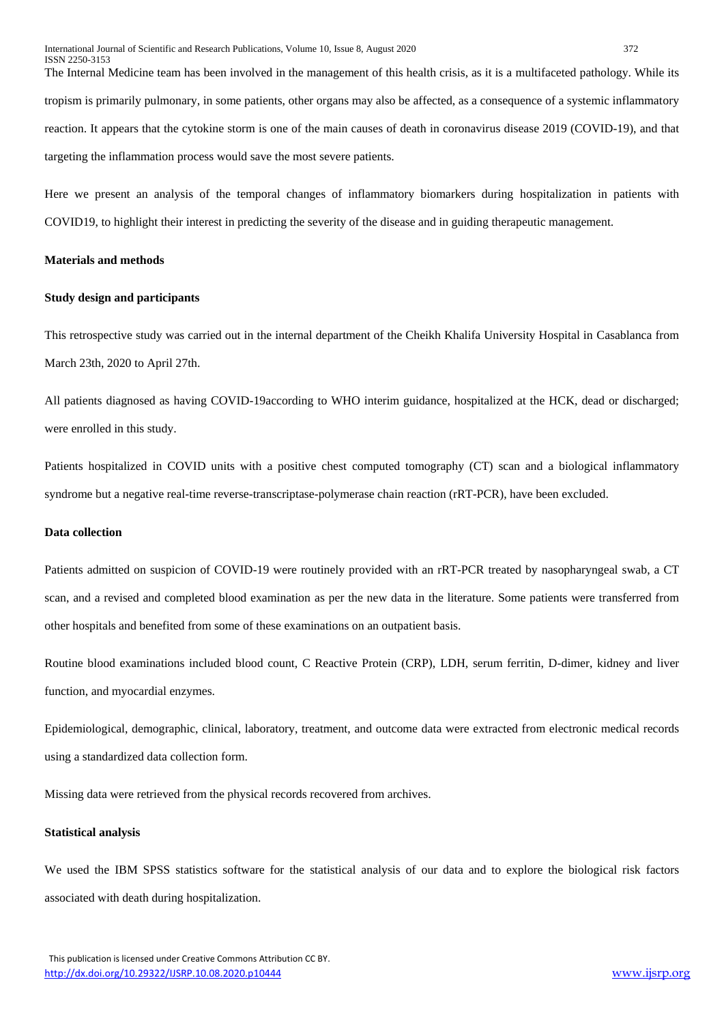The Internal Medicine team has been involved in the management of this health crisis, as it is a multifaceted pathology. While its tropism is primarily pulmonary, in some patients, other organs may also be affected, as a consequence of a systemic inflammatory reaction. It appears that the cytokine storm is one of the main causes of death in coronavirus disease 2019 (COVID-19), and that targeting the inflammation process would save the most severe patients.

Here we present an analysis of the temporal changes of inflammatory biomarkers during hospitalization in patients with COVID19, to highlight their interest in predicting the severity of the disease and in guiding therapeutic management.

# **Materials and methods**

# **Study design and participants**

This retrospective study was carried out in the internal department of the Cheikh Khalifa University Hospital in Casablanca from March 23th, 2020 to April 27th.

All patients diagnosed as having COVID-19according to WHO interim guidance, hospitalized at the HCK, dead or discharged; were enrolled in this study.

Patients hospitalized in COVID units with a positive chest computed tomography (CT) scan and a biological inflammatory syndrome but a negative real-time reverse-transcriptase-polymerase chain reaction (rRT-PCR), have been excluded.

#### **Data collection**

Patients admitted on suspicion of COVID-19 were routinely provided with an rRT-PCR treated by nasopharyngeal swab, a CT scan, and a revised and completed blood examination as per the new data in the literature. Some patients were transferred from other hospitals and benefited from some of these examinations on an outpatient basis.

Routine blood examinations included blood count, C Reactive Protein (CRP), LDH, serum ferritin, D-dimer, kidney and liver function, and myocardial enzymes.

Epidemiological, demographic, clinical, laboratory, treatment, and outcome data were extracted from electronic medical records using a standardized data collection form.

Missing data were retrieved from the physical records recovered from archives.

#### **Statistical analysis**

We used the IBM SPSS statistics software for the statistical analysis of our data and to explore the biological risk factors associated with death during hospitalization.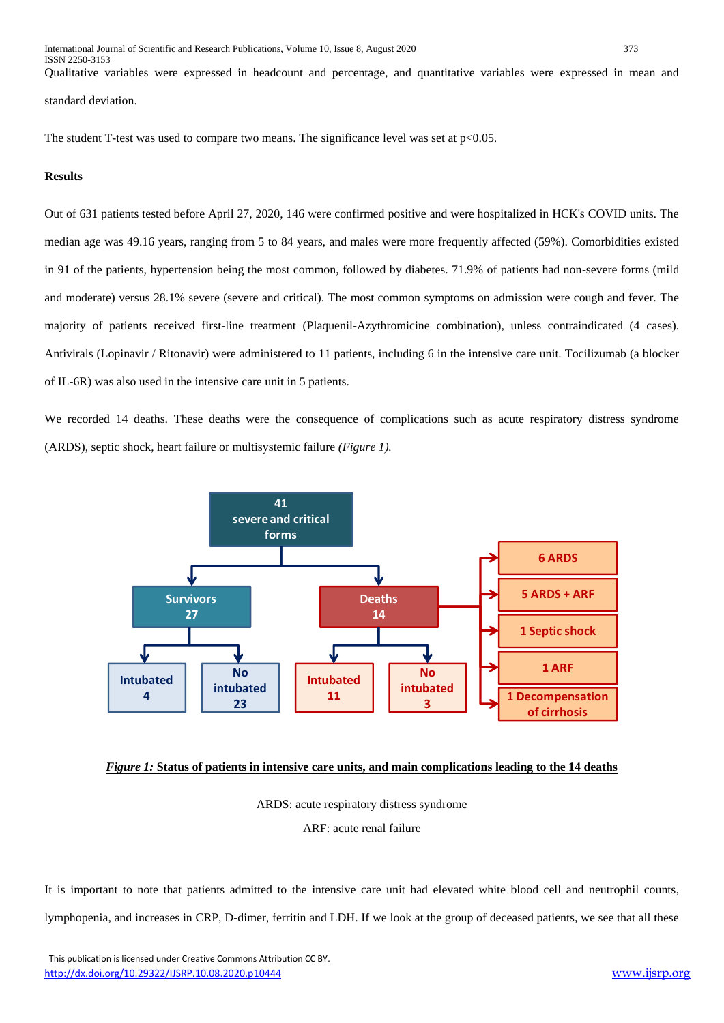Qualitative variables were expressed in headcount and percentage, and quantitative variables were expressed in mean and standard deviation.

The student T-test was used to compare two means. The significance level was set at  $p<0.05$ .

#### **Results**

Out of 631 patients tested before April 27, 2020, 146 were confirmed positive and were hospitalized in HCK's COVID units. The median age was 49.16 years, ranging from 5 to 84 years, and males were more frequently affected (59%). Comorbidities existed in 91 of the patients, hypertension being the most common, followed by diabetes. 71.9% of patients had non-severe forms (mild and moderate) versus 28.1% severe (severe and critical). The most common symptoms on admission were cough and fever. The majority of patients received first-line treatment (Plaquenil-Azythromicine combination), unless contraindicated (4 cases). Antivirals (Lopinavir / Ritonavir) were administered to 11 patients, including 6 in the intensive care unit. Tocilizumab (a blocker of IL-6R) was also used in the intensive care unit in 5 patients.

We recorded 14 deaths. These deaths were the consequence of complications such as acute respiratory distress syndrome (ARDS), septic shock, heart failure or multisystemic failure *(Figure 1).*



## *Figure 1:* **Status of patients in intensive care units, and main complications leading to the 14 deaths**

ARDS: acute respiratory distress syndrome

ARF: acute renal failure

It is important to note that patients admitted to the intensive care unit had elevated white blood cell and neutrophil counts, lymphopenia, and increases in CRP, D-dimer, ferritin and LDH. If we look at the group of deceased patients, we see that all these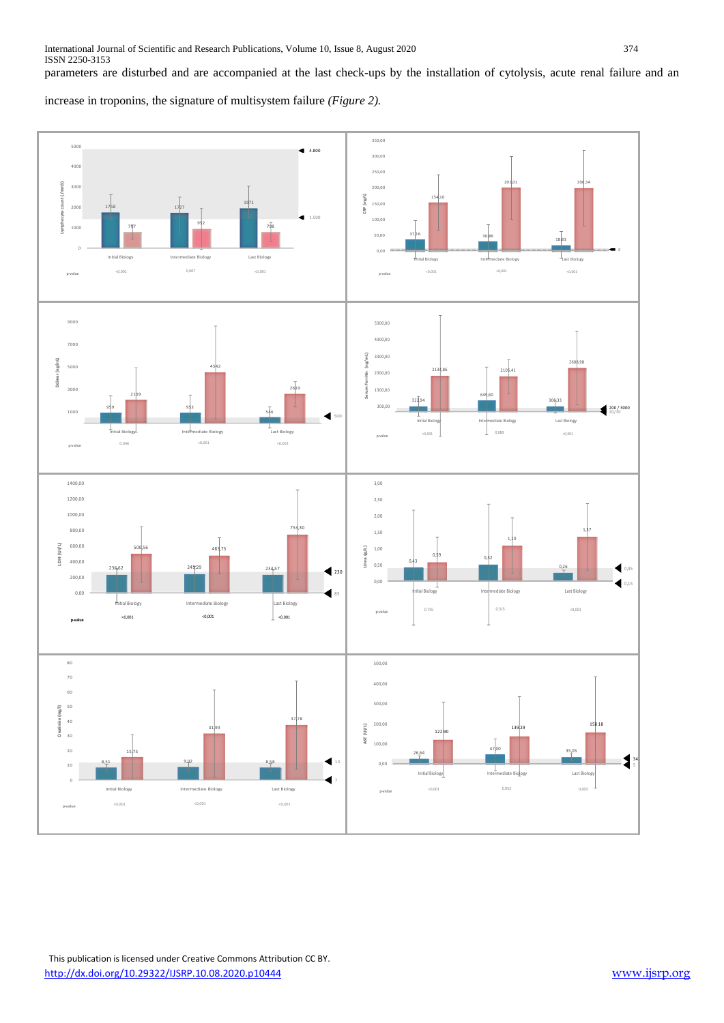parameters are disturbed and are accompanied at the last check-ups by the installation of cytolysis, acute renal failure and an

increase in troponins, the signature of multisystem failure *(Figure 2).*

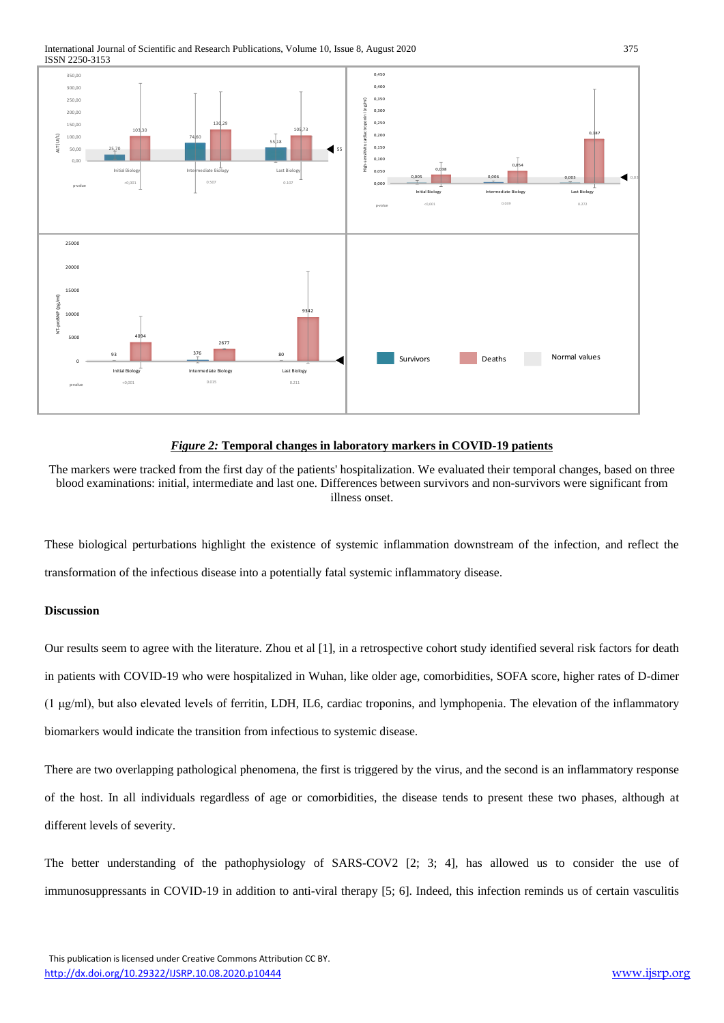International Journal of Scientific and Research Publications, Volume 10, Issue 8, August 2020 375 ISSN 2250-3153



# *Figure 2:* **Temporal changes in laboratory markers in COVID-19 patients**

The markers were tracked from the first day of the patients' hospitalization. We evaluated their temporal changes, based on three blood examinations: initial, intermediate and last one. Differences between survivors and non-survivors were significant from illness onset.

These biological perturbations highlight the existence of systemic inflammation downstream of the infection, and reflect the transformation of the infectious disease into a potentially fatal systemic inflammatory disease.

# **Discussion**

Our results seem to agree with the literature. Zhou et al [1], in a retrospective cohort study identified several risk factors for death in patients with COVID-19 who were hospitalized in Wuhan, like older age, comorbidities, SOFA score, higher rates of D-dimer (1 μg/ml), but also elevated levels of ferritin, LDH, IL6, cardiac troponins, and lymphopenia. The elevation of the inflammatory biomarkers would indicate the transition from infectious to systemic disease.

There are two overlapping pathological phenomena, the first is triggered by the virus, and the second is an inflammatory response of the host. In all individuals regardless of age or comorbidities, the disease tends to present these two phases, although at different levels of severity.

The better understanding of the pathophysiology of SARS-COV2 [2; 3; 4], has allowed us to consider the use of immunosuppressants in COVID-19 in addition to anti-viral therapy [5; 6]. Indeed, this infection reminds us of certain vasculitis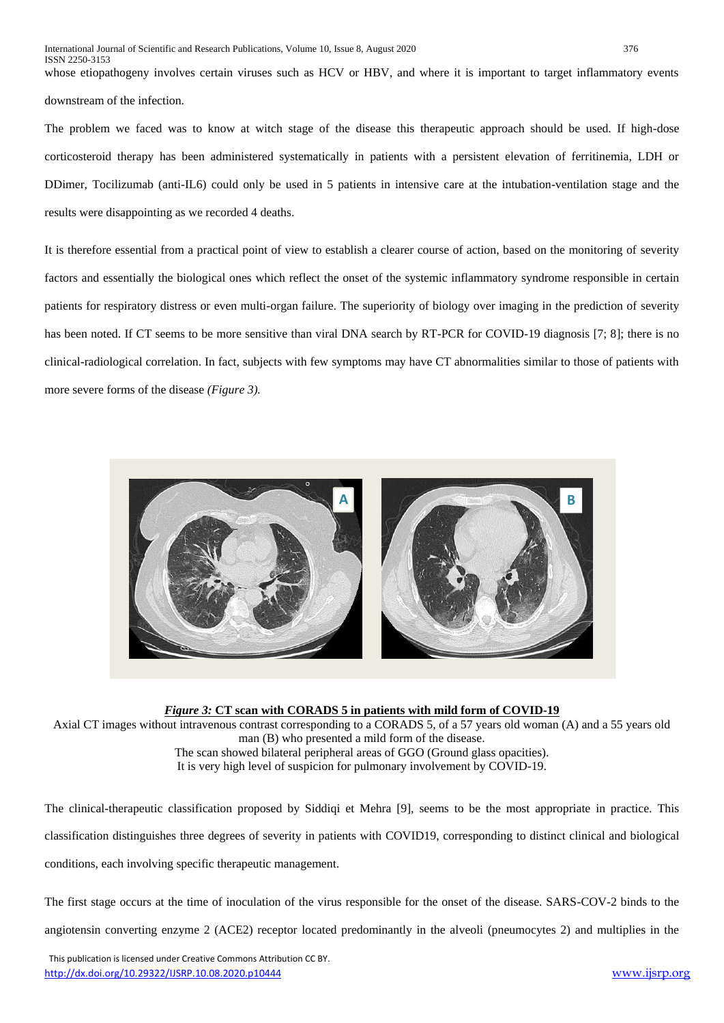whose etiopathogeny involves certain viruses such as HCV or HBV, and where it is important to target inflammatory events downstream of the infection.

The problem we faced was to know at witch stage of the disease this therapeutic approach should be used. If high-dose corticosteroid therapy has been administered systematically in patients with a persistent elevation of ferritinemia, LDH or DDimer, Tocilizumab (anti-IL6) could only be used in 5 patients in intensive care at the intubation-ventilation stage and the results were disappointing as we recorded 4 deaths.

It is therefore essential from a practical point of view to establish a clearer course of action, based on the monitoring of severity factors and essentially the biological ones which reflect the onset of the systemic inflammatory syndrome responsible in certain patients for respiratory distress or even multi-organ failure. The superiority of biology over imaging in the prediction of severity has been noted. If CT seems to be more sensitive than viral DNA search by RT-PCR for COVID-19 diagnosis [7; 8]; there is no clinical-radiological correlation. In fact, subjects with few symptoms may have CT abnormalities similar to those of patients with more severe forms of the disease *(Figure 3).*



*Figure 3:* **CT scan with CORADS 5 in patients with mild form of COVID-19**

Axial CT images without intravenous contrast corresponding to a CORADS 5, of a 57 years old woman (A) and a 55 years old man (B) who presented a mild form of the disease. The scan showed bilateral peripheral areas of GGO (Ground glass opacities).

It is very high level of suspicion for pulmonary involvement by COVID-19.

The clinical-therapeutic classification proposed by Siddiqi et Mehra [9], seems to be the most appropriate in practice. This classification distinguishes three degrees of severity in patients with COVID19, corresponding to distinct clinical and biological conditions, each involving specific therapeutic management.

The first stage occurs at the time of inoculation of the virus responsible for the onset of the disease. SARS-COV-2 binds to the

angiotensin converting enzyme 2 (ACE2) receptor located predominantly in the alveoli (pneumocytes 2) and multiplies in the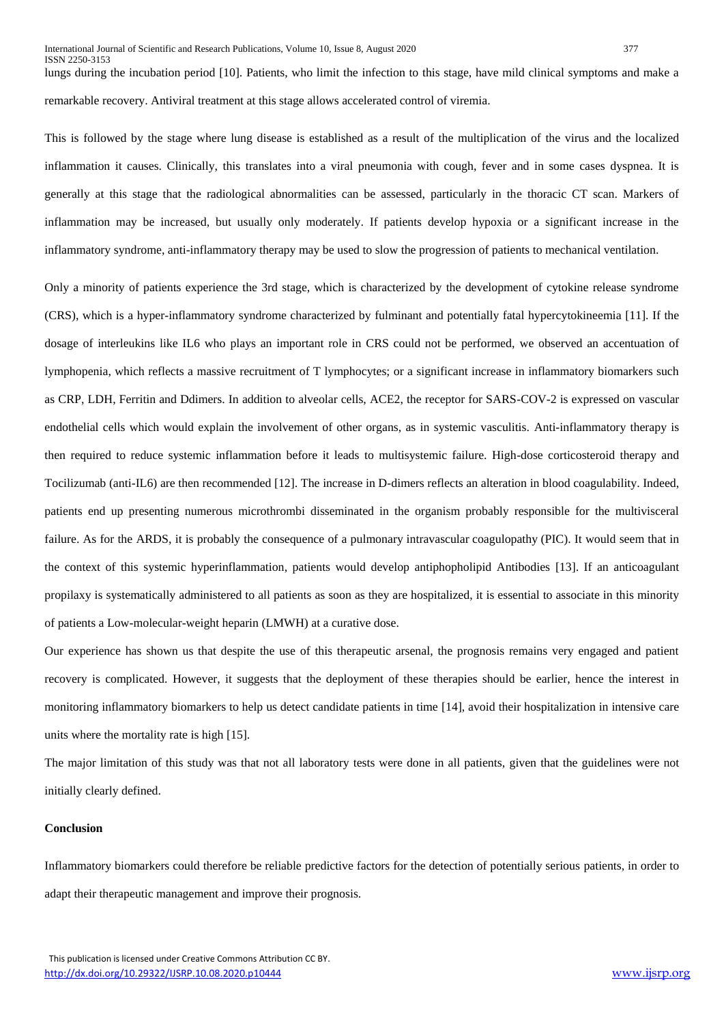lungs during the incubation period [10]. Patients, who limit the infection to this stage, have mild clinical symptoms and make a remarkable recovery. Antiviral treatment at this stage allows accelerated control of viremia.

This is followed by the stage where lung disease is established as a result of the multiplication of the virus and the localized inflammation it causes. Clinically, this translates into a viral pneumonia with cough, fever and in some cases dyspnea. It is generally at this stage that the radiological abnormalities can be assessed, particularly in the thoracic CT scan. Markers of inflammation may be increased, but usually only moderately. If patients develop hypoxia or a significant increase in the inflammatory syndrome, anti-inflammatory therapy may be used to slow the progression of patients to mechanical ventilation.

Only a minority of patients experience the 3rd stage, which is characterized by the development of cytokine release syndrome (CRS), which is a hyper-inflammatory syndrome characterized by fulminant and potentially fatal hypercytokineemia [11]. If the dosage of interleukins like IL6 who plays an important role in CRS could not be performed, we observed an accentuation of lymphopenia, which reflects a massive recruitment of T lymphocytes; or a significant increase in inflammatory biomarkers such as CRP, LDH, Ferritin and Ddimers. In addition to alveolar cells, ACE2, the receptor for SARS-COV-2 is expressed on vascular endothelial cells which would explain the involvement of other organs, as in systemic vasculitis. Anti-inflammatory therapy is then required to reduce systemic inflammation before it leads to multisystemic failure. High-dose corticosteroid therapy and Tocilizumab (anti-IL6) are then recommended [12]. The increase in D-dimers reflects an alteration in blood coagulability. Indeed, patients end up presenting numerous microthrombi disseminated in the organism probably responsible for the multivisceral failure. As for the ARDS, it is probably the consequence of a pulmonary intravascular coagulopathy (PIC). It would seem that in the context of this systemic hyperinflammation, patients would develop antiphopholipid Antibodies [13]. If an anticoagulant propilaxy is systematically administered to all patients as soon as they are hospitalized, it is essential to associate in this minority of patients a Low-molecular-weight heparin (LMWH) at a curative dose.

Our experience has shown us that despite the use of this therapeutic arsenal, the prognosis remains very engaged and patient recovery is complicated. However, it suggests that the deployment of these therapies should be earlier, hence the interest in monitoring inflammatory biomarkers to help us detect candidate patients in time [14], avoid their hospitalization in intensive care units where the mortality rate is high [15].

The major limitation of this study was that not all laboratory tests were done in all patients, given that the guidelines were not initially clearly defined.

#### **Conclusion**

Inflammatory biomarkers could therefore be reliable predictive factors for the detection of potentially serious patients, in order to adapt their therapeutic management and improve their prognosis.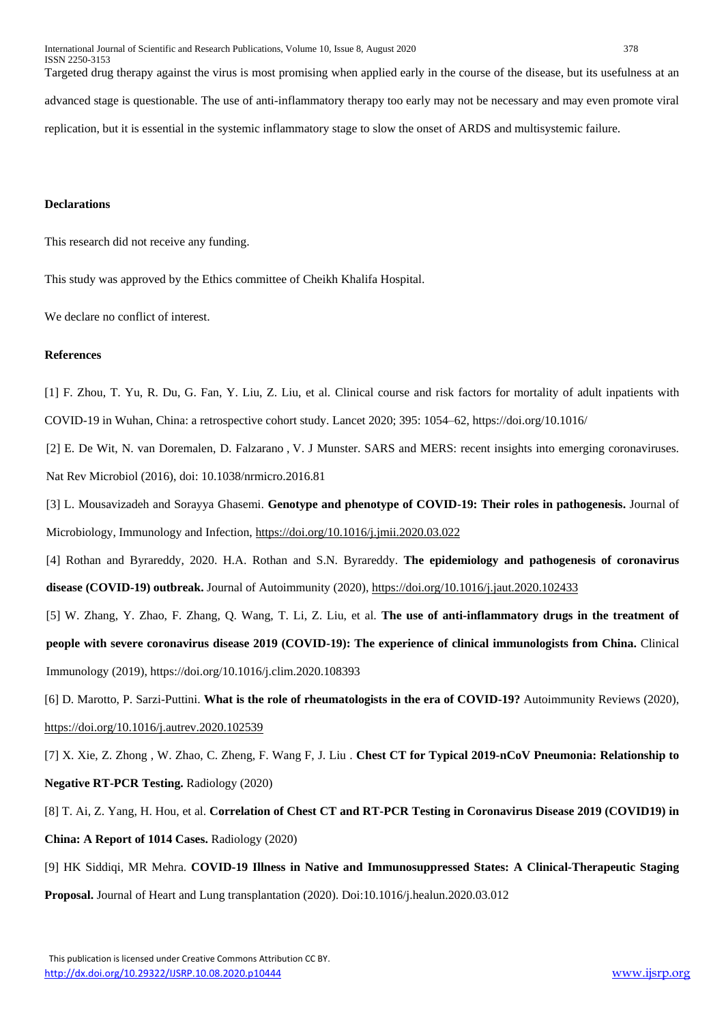International Journal of Scientific and Research Publications, Volume 10, Issue 8, August 2020 378 ISSN 2250-3153 Targeted drug therapy against the virus is most promising when applied early in the course of the disease, but its usefulness at an advanced stage is questionable. The use of anti-inflammatory therapy too early may not be necessary and may even promote viral replication, but it is essential in the systemic inflammatory stage to slow the onset of ARDS and multisystemic failure.

#### **Declarations**

This research did not receive any funding.

This study was approved by the Ethics committee of Cheikh Khalifa Hospital.

We declare no conflict of interest.

## **References**

[1] F. Zhou, T. Yu, R. Du, G. Fan, Y. Liu, Z. Liu, et al. Clinical course and risk factors for mortality of adult inpatients with COVID-19 in Wuhan, China: a retrospective cohort study. Lancet 2020; 395: 1054–62, https://doi.org/10.1016/

[2] E. De Wit, [N. van Doremalen,](https://pubmed.ncbi.nlm.nih.gov/?term=van+Doremalen+N&cauthor_id=27344959) [D. Falzarano](https://pubmed.ncbi.nlm.nih.gov/?term=Falzarano+D&cauthor_id=27344959) , [V. J Munster.](https://pubmed.ncbi.nlm.nih.gov/?term=Munster+VJ&cauthor_id=27344959) SARS and MERS: recent insights into emerging coronaviruses. Nat Rev Microbiol (2016), doi: 10.1038/nrmicro.2016.81

[3] L. Mousavizadeh and Sorayya Ghasemi. **Genotype and phenotype of COVID-19: Their roles in pathogenesis.** Journal of Microbiology, Immunology and Infection,<https://doi.org/10.1016/j.jmii.2020.03.022>

[4] Rothan and Byrareddy, 2020. H.A. Rothan and S.N. Byrareddy. **The epidemiology and pathogenesis of coronavirus disease (COVID-19) outbreak.** Journal of Autoimmunity (2020),<https://doi.org/10.1016/j.jaut.2020.102433>

[5] W. Zhang, Y. Zhao, F. Zhang, Q. Wang, T. Li, Z. Liu, et al. **The use of anti-inflammatory drugs in the treatment of people with severe coronavirus disease 2019 (COVID-19): The experience of clinical immunologists from China.** Clinical Immunology (2019), https://doi.org/10.1016/j.clim.2020.108393

[6] D. Marotto, P. Sarzi-Puttini. **What is the role of rheumatologists in the era of COVID-19?** Autoimmunity Reviews (2020), <https://doi.org/10.1016/j.autrev.2020.102539>

[7] X. Xie, Z. Zhong , W. Zhao, C. Zheng, F. Wang F, J. Liu . **Chest CT for Typical 2019-nCoV Pneumonia: Relationship to Negative RT-PCR Testing.** Radiology (2020)

[8] T. Ai, Z. Yang, H. Hou, et al. **Correlation of Chest CT and RT-PCR Testing in Coronavirus Disease 2019 (COVID19) in China: A Report of 1014 Cases.** Radiology (2020)

[9] HK Siddiqi, MR Mehra. **COVID-19 Illness in Native and Immunosuppressed States: A Clinical-Therapeutic Staging Proposal.** Journal of Heart and Lung transplantation (2020). Doi:10.1016/j.healun.2020.03.012